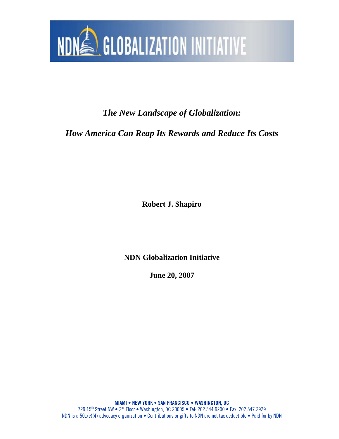

*The New Landscape of Globalization:* 

*How America Can Reap Its Rewards and Reduce Its Costs* 

**Robert J. Shapiro** 

**NDN Globalization Initiative** 

**June 20, 2007**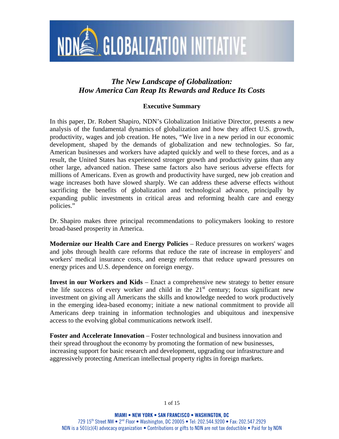

# *The New Landscape of Globalization: How America Can Reap Its Rewards and Reduce Its Costs*

## **Executive Summary**

In this paper, Dr. Robert Shapiro, NDN's Globalization Initiative Director, presents a new analysis of the fundamental dynamics of globalization and how they affect U.S. growth, productivity, wages and job creation. He notes, "We live in a new period in our economic development, shaped by the demands of globalization and new technologies. So far, American businesses and workers have adapted quickly and well to these forces, and as a result, the United States has experienced stronger growth and productivity gains than any other large, advanced nation. These same factors also have serious adverse effects for millions of Americans. Even as growth and productivity have surged, new job creation and wage increases both have slowed sharply. We can address these adverse effects without sacrificing the benefits of globalization and technological advance, principally by expanding public investments in critical areas and reforming health care and energy policies."

Dr. Shapiro makes three principal recommendations to policymakers looking to restore broad-based prosperity in America.

**Modernize our Health Care and Energy Policies** – Reduce pressures on workers' wages and jobs through health care reforms that reduce the rate of increase in employers' and workers' medical insurance costs, and energy reforms that reduce upward pressures on energy prices and U.S. dependence on foreign energy.

**Invest in our Workers and Kids** – Enact a comprehensive new strategy to better ensure the life success of every worker and child in the  $21<sup>st</sup>$  century; focus significant new investment on giving all Americans the skills and knowledge needed to work productively in the emerging idea-based economy; initiate a new national commitment to provide all Americans deep training in information technologies and ubiquitous and inexpensive access to the evolving global communications network itself.

**Foster and Accelerate Innovation** – Foster technological and business innovation and their spread throughout the economy by promoting the formation of new businesses, increasing support for basic research and development, upgrading our infrastructure and aggressively protecting American intellectual property rights in foreign markets.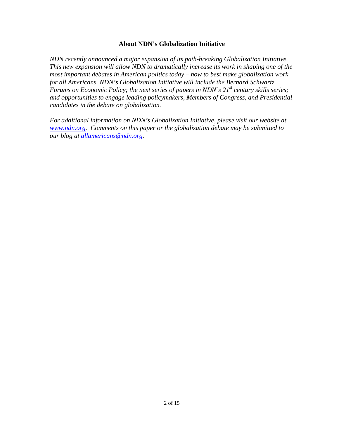## **About NDN's Globalization Initiative**

*NDN recently announced a major expansion of its path-breaking Globalization Initiative. This new expansion will allow NDN to dramatically increase its work in shaping one of the most important debates in American politics today – how to best make globalization work for all Americans. NDN's Globalization Initiative will include the Bernard Schwartz Forums on Economic Policy; the next series of papers in NDN's 21<sup>st</sup> century skills series; and opportunities to engage leading policymakers, Members of Congress, and Presidential candidates in the debate on globalization.* 

*For additional information on NDN's Globalization Initiative, please visit our website at www.ndn.org. Comments on this paper or the globalization debate may be submitted to our blog at allamericans@ndn.org.*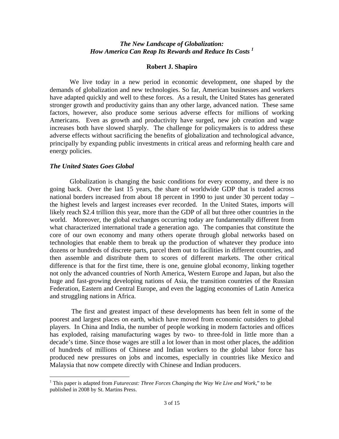## *The New Landscape of Globalization:*  How America Can Reap Its Rewards and Reduce Its Costs<sup>1</sup>

#### **Robert J. Shapiro**

We live today in a new period in economic development, one shaped by the demands of globalization and new technologies. So far, American businesses and workers have adapted quickly and well to these forces. As a result, the United States has generated stronger growth and productivity gains than any other large, advanced nation. These same factors, however, also produce some serious adverse effects for millions of working Americans. Even as growth and productivity have surged, new job creation and wage increases both have slowed sharply. The challenge for policymakers is to address these adverse effects without sacrificing the benefits of globalization and technological advance, principally by expanding public investments in critical areas and reforming health care and energy policies.

#### *The United States Goes Global*

1

Globalization is changing the basic conditions for every economy, and there is no going back. Over the last 15 years, the share of worldwide GDP that is traded across national borders increased from about 18 percent in 1990 to just under 30 percent today – the highest levels and largest increases ever recorded. In the United States, imports will likely reach \$2.4 trillion this year, more than the GDP of all but three other countries in the world. Moreover, the global exchanges occurring today are fundamentally different from what characterized international trade a generation ago. The companies that constitute the core of our own economy and many others operate through global networks based on technologies that enable them to break up the production of whatever they produce into dozens or hundreds of discrete parts, parcel them out to facilities in different countries, and then assemble and distribute them to scores of different markets. The other critical difference is that for the first time, there is one, genuine global economy, linking together not only the advanced countries of North America, Western Europe and Japan, but also the huge and fast-growing developing nations of Asia, the transition countries of the Russian Federation, Eastern and Central Europe, and even the lagging economies of Latin America and struggling nations in Africa.

The first and greatest impact of these developments has been felt in some of the poorest and largest places on earth, which have moved from economic outsiders to global players. In China and India, the number of people working in modern factories and offices has exploded, raising manufacturing wages by two- to three-fold in little more than a decade's time. Since those wages are still a lot lower than in most other places, the addition of hundreds of millions of Chinese and Indian workers to the global labor force has produced new pressures on jobs and incomes, especially in countries like Mexico and Malaysia that now compete directly with Chinese and Indian producers.

<sup>&</sup>lt;sup>1</sup> This paper is adapted from *Futurecast: Three Forces Changing the Way We Live and Work*," to be published in 2008 by St. Martins Press.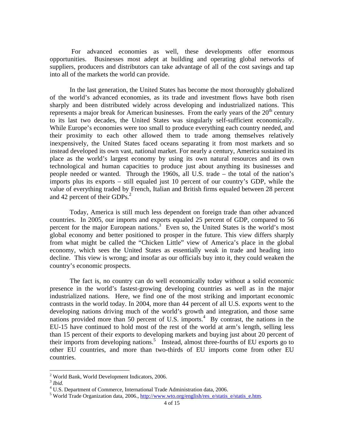For advanced economies as well, these developments offer enormous opportunities. Businesses most adept at building and operating global networks of suppliers, producers and distributors can take advantage of all of the cost savings and tap into all of the markets the world can provide.

In the last generation, the United States has become the most thoroughly globalized of the world's advanced economies, as its trade and investment flows have both risen sharply and been distributed widely across developing and industrialized nations. This represents a major break for American businesses. From the early years of the  $20<sup>th</sup>$  century to its last two decades, the United States was singularly self-sufficient economically. While Europe's economies were too small to produce everything each country needed, and their proximity to each other allowed them to trade among themselves relatively inexpensively, the United States faced oceans separating it from most markets and so instead developed its own vast, national market. For nearly a century, America sustained its place as the world's largest economy by using its own natural resources and its own technological and human capacities to produce just about anything its businesses and people needed or wanted. Through the 1960s, all U.S. trade – the total of the nation's imports plus its exports – still equaled just 10 percent of our country's GDP, while the value of everything traded by French, Italian and British firms equaled between 28 percent and 42 percent of their GDPs.<sup>2</sup>

Today, America is still much less dependent on foreign trade than other advanced countries. In 2005, our imports and exports equaled 25 percent of GDP, compared to 56 percent for the major European nations.<sup>3</sup> Even so, the United States is the world's most global economy and better positioned to prosper in the future. This view differs sharply from what might be called the "Chicken Little" view of America's place in the global economy, which sees the United States as essentially weak in trade and heading into decline. This view is wrong; and insofar as our officials buy into it, they could weaken the country's economic prospects.

The fact is, no country can do well economically today without a solid economic presence in the world's fastest-growing developing countries as well as in the major industrialized nations. Here, we find one of the most striking and important economic contrasts in the world today. In 2004, more than 44 percent of all U.S. exports went to the developing nations driving much of the world's growth and integration, and those same nations provided more than 50 percent of U.S. imports.<sup>4</sup> By contrast, the nations in the EU-15 have continued to hold most of the rest of the world at arm's length, selling less than 15 percent of their exports to developing markets and buying just about 20 percent of their imports from developing nations.<sup>5</sup> Instead, almost three-fourths of EU exports go to other EU countries, and more than two-thirds of EU imports come from other EU countries.

<sup>&</sup>lt;sup>2</sup> World Bank, World Development Indicators, 2006.

<sup>3</sup> *Ibid.* 

<sup>&</sup>lt;sup>4</sup> U.S. Department of Commerce, International Trade Administration data, 2006.

<sup>&</sup>lt;sup>5</sup> World Trade Organization data, 2006.,  $\frac{http://www.wto.org/english/res-e/status-e/statuse.htm.$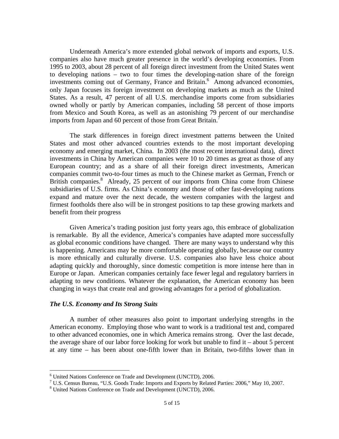Underneath America's more extended global network of imports and exports, U.S. companies also have much greater presence in the world's developing economies. From 1995 to 2003, about 28 percent of all foreign direct investment from the United States went to developing nations – two to four times the developing-nation share of the foreign investments coming out of Germany, France and Britain.<sup>6</sup> Among advanced economies, only Japan focuses its foreign investment on developing markets as much as the United States. As a result, 47 percent of all U.S. merchandise imports come from subsidiaries owned wholly or partly by American companies, including 58 percent of those imports from Mexico and South Korea, as well as an astonishing 79 percent of our merchandise imports from Japan and 60 percent of those from Great Britain.<sup>7</sup>

The stark differences in foreign direct investment patterns between the United States and most other advanced countries extends to the most important developing economy and emerging market, China. In 2003 (the most recent international data), direct investments in China by American companies were 10 to 20 times as great as those of any European country; and as a share of all their foreign direct investments, American companies commit two-to-four times as much to the Chinese market as German, French or British companies.<sup>8</sup> Already, 25 percent of our imports from China come from Chinese subsidiaries of U.S. firms. As China's economy and those of other fast-developing nations expand and mature over the next decade, the western companies with the largest and firmest footholds there also will be in strongest positions to tap these growing markets and benefit from their progress

Given America's trading position just forty years ago, this embrace of globalization is remarkable. By all the evidence, America's companies have adapted more successfully as global economic conditions have changed. There are many ways to understand why this is happening. Americans may be more comfortable operating globally, because our country is more ethnically and culturally diverse. U.S. companies also have less choice about adapting quickly and thoroughly, since domestic competition is more intense here than in Europe or Japan. American companies certainly face fewer legal and regulatory barriers in adapting to new conditions. Whatever the explanation, the American economy has been changing in ways that create real and growing advantages for a period of globalization.

#### *The U.S. Economy and Its Strong Suits*

A number of other measures also point to important underlying strengths in the American economy. Employing those who want to work is a traditional test and, compared to other advanced economies, one in which America remains strong. Over the last decade, the average share of our labor force looking for work but unable to find it – about 5 percent at any time – has been about one-fifth lower than in Britain, two-fifths lower than in

 6 United Nations Conference on Trade and Development (UNCTD), 2006.

<sup>&</sup>lt;sup>7</sup> U.S. Census Bureau, "U.S. Goods Trade: Imports and Exports by Related Parties: 2006," May 10, 2007.

<sup>8</sup> United Nations Conference on Trade and Development (UNCTD), 2006.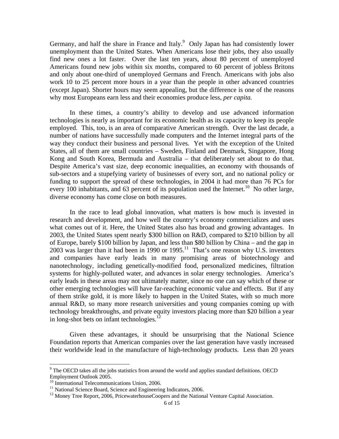Germany, and half the share in France and Italy. $9$  Only Japan has had consistently lower unemployment than the United States. When Americans lose their jobs, they also usually find new ones a lot faster. Over the last ten years, about 80 percent of unemployed Americans found new jobs within six months, compared to 60 percent of jobless Britons and only about one-third of unemployed Germans and French. Americans with jobs also work 10 to 25 percent more hours in a year than the people in other advanced countries (except Japan). Shorter hours may seem appealing, but the difference is one of the reasons why most Europeans earn less and their economies produce less, *per capita.* 

 In these times, a country's ability to develop and use advanced information technologies is nearly as important for its economic health as its capacity to keep its people employed. This, too, is an area of comparative American strength. Over the last decade, a number of nations have successfully made computers and the Internet integral parts of the way they conduct their business and personal lives. Yet with the exception of the United States, all of them are small countries – Sweden, Finland and Denmark, Singapore, Hong Kong and South Korea, Bermuda and Australia – that deliberately set about to do that. Despite America's vast size, deep economic inequalities, an economy with thousands of sub-sectors and a stupefying variety of businesses of every sort, and no national policy or funding to support the spread of these technologies, in 2004 it had more than 76 PCs for every 100 inhabitants, and 63 percent of its population used the Internet.<sup>10</sup> No other large, diverse economy has come close on both measures.

In the race to lead global innovation, what matters is how much is invested in research and development, and how well the country's economy commercializes and uses what comes out of it. Here, the United States also has broad and growing advantages. In 2003, the United States spent nearly \$300 billion on R&D, compared to \$210 billion by all of Europe, barely \$100 billion by Japan, and less than \$80 billion by China – and the gap in 2003 was larger than it had been in 1990 or 1995.<sup>11</sup> That's one reason why U.S. inventors and companies have early leads in many promising areas of biotechnology and nanotechnology, including genetically-modified food, personalized medicines, filtration systems for highly-polluted water, and advances in solar energy technologies. America's early leads in these areas may not ultimately matter, since no one can say which of these or other emerging technologies will have far-reaching economic value and effects. But if any of them strike gold, it is more likely to happen in the United States, with so much more annual R&D, so many more research universities and young companies coming up with technology breakthroughs, and private equity investors placing more than \$20 billion a year in long-shot bets on infant technologies. $^{12}$ 

Given these advantages, it should be unsurprising that the National Science Foundation reports that American companies over the last generation have vastly increased their worldwide lead in the manufacture of high-technology products. Less than 20 years

 $9$  The OECD takes all the jobs statistics from around the world and applies standard definitions. OECD Employment Outlook 2005.

<sup>&</sup>lt;sup>10</sup> International Telecommunications Union, 2006.

 $11$  National Science Board, Science and Engineering Indicators, 2006.

<sup>&</sup>lt;sup>12</sup> Money Tree Report, 2006, PricewaterhouseCoopers and the National Venture Capital Association.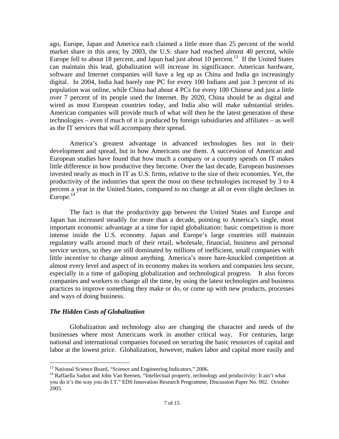ago, Europe, Japan and America each claimed a little more than 25 percent of the world market share in this area; by 2003, the U.S. share had reached almost 40 percent, while Europe fell to about 18 percent, and Japan had just about 10 percent.<sup>13</sup> If the United States can maintain this lead, globalization will increase its significance. American hardware, software and Internet companies will have a leg up as China and India go increasingly digital. In 2004, India had barely one PC for every 100 Indians and just 3 percent of its population was online, while China had about 4 PCs for every 100 Chinese and just a little over 7 percent of its people used the Internet. By 2020, China should be as digital and wired as most European countries today, and India also will make substantial strides. American companies will provide much of what will then be the latest generation of these technologies – even if much of it is produced by foreign subsidiaries and affiliates – as well as the IT services that will accompany their spread.

America's greatest advantage in advanced technologies lies not in their development and spread, but in how Americans use them. A succession of American and European studies have found that how much a company or a country spends on IT makes little difference in how productive they become. Over the last decade, European businesses invested nearly as much in IT as U.S. firms, relative to the size of their economies. Yet, the productivity of the industries that spent the most on these technologies increased by 3 to 4 percent a year in the United States, compared to no change at all or even slight declines in Europe. $14$ <sup>-</sup>

The fact is that the productivity gap between the United States and Europe and Japan has increased steadily for more than a decade, pointing to America's single, most important economic advantage at a time for rapid globalization: basic competition is more intense inside the U.S. economy. Japan and Europe's large countries still maintain regulatory walls around much of their retail, wholesale, financial, business and personal service sectors, so they are still dominated by millions of inefficient, small companies with little incentive to change almost anything. America's more bare-knuckled competition at almost every level and aspect of its economy makes its workers and companies less secure, especially in a time of galloping globalization and technological progress. It also forces companies and workers to change all the time, by using the latest technologies and business practices to improve something they make or do, or come up with new products, processes and ways of doing business.

## *The Hidden Costs of Globalization*

Globalization and technology also are changing the character and needs of the businesses where most Americans work in another critical way. For centuries, large national and international companies focused on securing the basic resources of capital and labor at the lowest price. Globalization, however, makes labor and capital more easily and

<sup>&</sup>lt;sup>13</sup> National Science Board, "Science and Engineering Indicators," 2006.

<sup>&</sup>lt;sup>14</sup> Raffaella Sadun and John Van Reenen, "Intellectual property, technology and productivity: It ain't what you do it's the way you do I.T." EDS Innovation Research Programme, Discussion Paper No. 002. October 2005.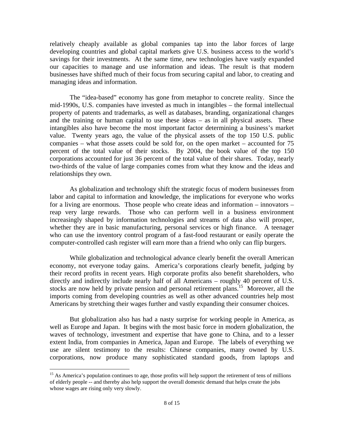relatively cheaply available as global companies tap into the labor forces of large developing countries and global capital markets give U.S. business access to the world's savings for their investments. At the same time, new technologies have vastly expanded our capacities to manage and use information and ideas. The result is that modern businesses have shifted much of their focus from securing capital and labor, to creating and managing ideas and information.

The "idea-based" economy has gone from metaphor to concrete reality. Since the mid-1990s, U.S. companies have invested as much in intangibles – the formal intellectual property of patents and trademarks, as well as databases, branding, organizational changes and the training or human capital to use these ideas – as in all physical assets. These intangibles also have become the most important factor determining a business's market value. Twenty years ago, the value of the physical assets of the top 150 U.S. public companies – what those assets could be sold for, on the open market – accounted for 75 percent of the total value of their stocks. By 2004, the book value of the top 150 corporations accounted for just 36 percent of the total value of their shares. Today, nearly two-thirds of the value of large companies comes from what they know and the ideas and relationships they own.

As globalization and technology shift the strategic focus of modern businesses from labor and capital to information and knowledge, the implications for everyone who works for a living are enormous. Those people who create ideas and information – innovators – reap very large rewards. Those who can perform well in a business environment increasingly shaped by information technologies and streams of data also will prosper, whether they are in basic manufacturing, personal services or high finance. A teenager who can use the inventory control program of a fast-food restaurant or easily operate the computer-controlled cash register will earn more than a friend who only can flip burgers.

While globalization and technological advance clearly benefit the overall American economy, not everyone today gains. America's corporations clearly benefit, judging by their record profits in recent years. High corporate profits also benefit shareholders, who directly and indirectly include nearly half of all Americans – roughly 40 percent of U.S. stocks are now held by private pension and personal retirement plans.<sup>15</sup> Moreover, all the imports coming from developing countries as well as other advanced countries help most Americans by stretching their wages further and vastly expanding their consumer choices.

But globalization also has had a nasty surprise for working people in America, as well as Europe and Japan. It begins with the most basic force in modern globalization, the waves of technology, investment and expertise that have gone to China, and to a lesser extent India, from companies in America, Japan and Europe. The labels of everything we use are silent testimony to the results: Chinese companies, many owned by U.S. corporations, now produce many sophisticated standard goods, from laptops and

<sup>&</sup>lt;sup>15</sup> As America's population continues to age, those profits will help support the retirement of tens of millions of elderly people -- and thereby also help support the overall domestic demand that helps create the jobs whose wages are rising only very slowly.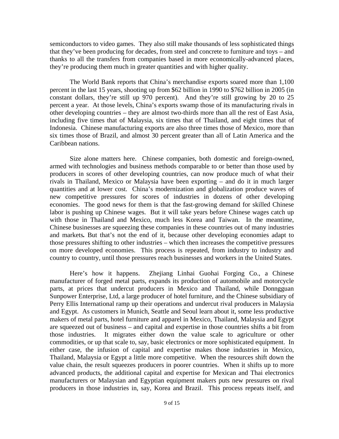semiconductors to video games. They also still make thousands of less sophisticated things that they've been producing for decades, from steel and concrete to furniture and toys – and thanks to all the transfers from companies based in more economically-advanced places, they're producing them much in greater quantities and with higher quality.

The World Bank reports that China's merchandise exports soared more than 1,100 percent in the last 15 years, shooting up from \$62 billion in 1990 to \$762 billion in 2005 (in constant dollars, they're still up 970 percent). And they're still growing by 20 to 25 percent a year. At those levels, China's exports swamp those of its manufacturing rivals in other developing countries – they are almost two-thirds more than all the rest of East Asia, including five times that of Malaysia, six times that of Thailand, and eight times that of Indonesia. Chinese manufacturing exports are also three times those of Mexico, more than six times those of Brazil, and almost 30 percent greater than all of Latin America and the Caribbean nations.

Size alone matters here. Chinese companies, both domestic and foreign-owned, armed with technologies and business methods comparable to or better than those used by producers in scores of other developing countries, can now produce much of what their rivals in Thailand, Mexico or Malaysia have been exporting – and do it in much larger quantities and at lower cost. China's modernization and globalization produce waves of new competitive pressures for scores of industries in dozens of other developing economies. The good news for them is that the fast-growing demand for skilled Chinese labor is pushing up Chinese wages. But it will take years before Chinese wages catch up with those in Thailand and Mexico, much less Korea and Taiwan. In the meantime, Chinese businesses are squeezing these companies in these countries out of many industries and markets*.* But that's not the end of it, because other developing economies adapt to those pressures shifting to other industries – which then increases the competitive pressures on more developed economies. This process is repeated, from industry to industry and country to country, until those pressures reach businesses and workers in the United States.

Here's how it happens. Zhejiang Linhai Guohai Forging Co., a Chinese manufacturer of forged metal parts, expands its production of automobile and motorcycle parts, at prices that undercut producers in Mexico and Thailand, while Donngguan Sunpower Enterprise, Ltd, a large producer of hotel furniture, and the Chinese subsidiary of Perry Ellis International ramp up their operations and undercut rival producers in Malaysia and Egypt. As customers in Munich, Seattle and Seoul learn about it, some less productive makers of metal parts, hotel furniture and apparel in Mexico, Thailand, Malaysia and Egypt are squeezed out of business – and capital and expertise in those countries shifts a bit from those industries. It migrates either down the value scale to agriculture or other commodities, or up that scale to, say, basic electronics or more sophisticated equipment. In either case, the infusion of capital and expertise makes those industries in Mexico, Thailand, Malaysia or Egypt a little more competitive. When the resources shift down the value chain, the result squeezes producers in poorer countries. When it shifts up to more advanced products, the additional capital and expertise for Mexican and Thai electronics manufacturers or Malaysian and Egyptian equipment makers puts new pressures on rival producers in those industries in, say, Korea and Brazil. This process repeats itself, and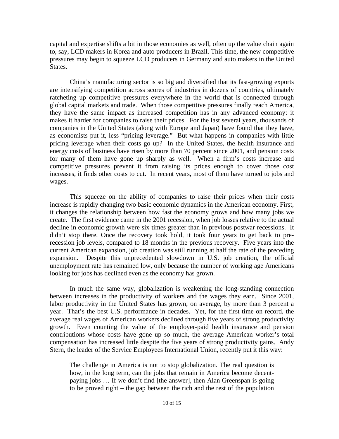capital and expertise shifts a bit in those economies as well, often up the value chain again to, say, LCD makers in Korea and auto producers in Brazil. This time, the new competitive pressures may begin to squeeze LCD producers in Germany and auto makers in the United States.

China's manufacturing sector is so big and diversified that its fast-growing exports are intensifying competition across scores of industries in dozens of countries, ultimately ratcheting up competitive pressures everywhere in the world that is connected through global capital markets and trade. When those competitive pressures finally reach America, they have the same impact as increased competition has in any advanced economy: it makes it harder for companies to raise their prices. For the last several years, thousands of companies in the United States (along with Europe and Japan) have found that they have, as economists put it, less "pricing leverage." But what happens in companies with little pricing leverage when their costs go up? In the United States, the health insurance and energy costs of business have risen by more than 70 percent since 2001, and pension costs for many of them have gone up sharply as well. When a firm's costs increase and competitive pressures prevent it from raising its prices enough to cover those cost increases, it finds other costs to cut. In recent years, most of them have turned to jobs and wages.

This squeeze on the ability of companies to raise their prices when their costs increase is rapidly changing two basic economic dynamics in the American economy. First, it changes the relationship between how fast the economy grows and how many jobs we create. The first evidence came in the 2001 recession, when job losses relative to the actual decline in economic growth were six times greater than in previous postwar recessions. It didn't stop there. Once the recovery took hold, it took four years to get back to prerecession job levels, compared to 18 months in the previous recovery. Five years into the current American expansion, job creation was still running at half the rate of the preceding expansion. Despite this unprecedented slowdown in U.S. job creation, the official unemployment rate has remained low, only because the number of working age Americans looking for jobs has declined even as the economy has grown.

In much the same way, globalization is weakening the long-standing connection between increases in the productivity of workers and the wages they earn. Since 2001, labor productivity in the United States has grown, on average, by more than 3 percent a year. That's the best U.S. performance in decades. Yet, for the first time on record, the average real wages of American workers declined through five years of strong productivity growth. Even counting the value of the employer-paid health insurance and pension contributions whose costs have gone up so much, the average American worker's total compensation has increased little despite the five years of strong productivity gains. Andy Stern, the leader of the Service Employees International Union, recently put it this way:

The challenge in America is not to stop globalization. The real question is how, in the long term, can the jobs that remain in America become decentpaying jobs … If we don't find [the answer], then Alan Greenspan is going to be proved right – the gap between the rich and the rest of the population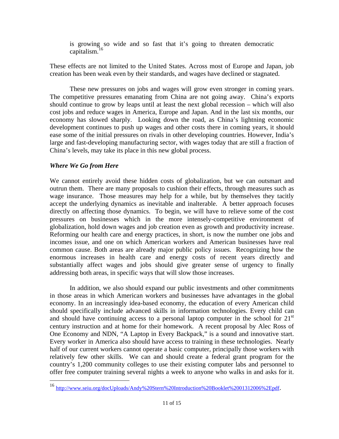is growing so wide and so fast that it's going to threaten democratic capitalism.16

These effects are not limited to the United States. Across most of Europe and Japan, job creation has been weak even by their standards, and wages have declined or stagnated.

These new pressures on jobs and wages will grow even stronger in coming years. The competitive pressures emanating from China are not going away. China's exports should continue to grow by leaps until at least the next global recession – which will also cost jobs and reduce wages in America, Europe and Japan. And in the last six months, our economy has slowed sharply. Looking down the road, as China's lightning economic development continues to push up wages and other costs there in coming years, it should ease some of the initial pressures on rivals in other developing countries. However, India's large and fast-developing manufacturing sector, with wages today that are still a fraction of China's levels, may take its place in this new global process.

## *Where We Go from Here*

1

We cannot entirely avoid these hidden costs of globalization, but we can outsmart and outrun them. There are many proposals to cushion their effects, through measures such as wage insurance. Those measures may help for a while, but by themselves they tacitly accept the underlying dynamics as inevitable and inalterable. A better approach focuses directly on affecting those dynamics. To begin, we will have to relieve some of the cost pressures on businesses which in the more intensely-competitive environment of globalization, hold down wages and job creation even as growth and productivity increase. Reforming our health care and energy practices, in short, is now the number one jobs and incomes issue, and one on which American workers and American businesses have real common cause. Both areas are already major public policy issues. Recognizing how the enormous increases in health care and energy costs of recent years directly and substantially affect wages and jobs should give greater sense of urgency to finally addressing both areas, in specific ways that will slow those increases.

In addition, we also should expand our public investments and other commitments in those areas in which American workers and businesses have advantages in the global economy. In an increasingly idea-based economy, the education of every American child should specifically include advanced skills in information technologies. Every child can and should have continuing access to a personal laptop computer in the school for  $21<sup>st</sup>$ century instruction and at home for their homework. A recent proposal by Alec Ross of One Economy and NDN, "A Laptop in Every Backpack," is a sound and innovative start. Every worker in America also should have access to training in these technologies. Nearly half of our current workers cannot operate a basic computer, principally those workers with relatively few other skills. We can and should create a federal grant program for the country's 1,200 community colleges to use their existing computer labs and personnel to offer free computer training several nights a week to anyone who walks in and asks for it.

<sup>16</sup> http://www.seiu.org/docUploads/Andy%20Stern%20Introduction%20Booklet%2001312006%2Epdf.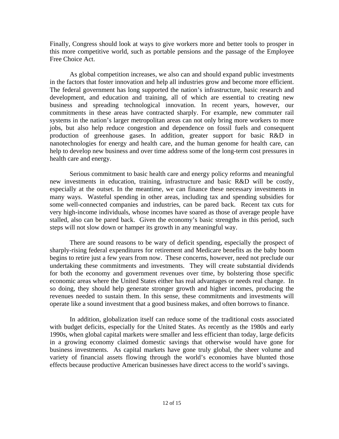Finally, Congress should look at ways to give workers more and better tools to prosper in this more competitive world, such as portable pensions and the passage of the Employee Free Choice Act.

As global competition increases, we also can and should expand public investments in the factors that foster innovation and help all industries grow and become more efficient. The federal government has long supported the nation's infrastructure, basic research and development, and education and training, all of which are essential to creating new business and spreading technological innovation. In recent years, however, our commitments in these areas have contracted sharply. For example, new commuter rail systems in the nation's larger metropolitan areas can not only bring more workers to more jobs, but also help reduce congestion and dependence on fossil fuels and consequent production of greenhouse gases. In addition, greater support for basic R&D in nanotechnologies for energy and health care, and the human genome for health care, can help to develop new business and over time address some of the long-term cost pressures in health care and energy.

Serious commitment to basic health care and energy policy reforms and meaningful new investments in education, training, infrastructure and basic R&D will be costly, especially at the outset. In the meantime, we can finance these necessary investments in many ways. Wasteful spending in other areas, including tax and spending subsidies for some well-connected companies and industries, can be pared back. Recent tax cuts for very high-income individuals, whose incomes have soared as those of average people have stalled, also can be pared back. Given the economy's basic strengths in this period, such steps will not slow down or hamper its growth in any meaningful way.

There are sound reasons to be wary of deficit spending, especially the prospect of sharply-rising federal expenditures for retirement and Medicare benefits as the baby boom begins to retire just a few years from now. These concerns, however, need not preclude our undertaking these commitments and investments. They will create substantial dividends for both the economy and government revenues over time, by bolstering those specific economic areas where the United States either has real advantages or needs real change. In so doing, they should help generate stronger growth and higher incomes, producing the revenues needed to sustain them. In this sense, these commitments and investments will operate like a sound investment that a good business makes, and often borrows to finance.

In addition, globalization itself can reduce some of the traditional costs associated with budget deficits, especially for the United States. As recently as the 1980s and early 1990s, when global capital markets were smaller and less efficient than today, large deficits in a growing economy claimed domestic savings that otherwise would have gone for business investments. As capital markets have gone truly global, the sheer volume and variety of financial assets flowing through the world's economies have blunted those effects because productive American businesses have direct access to the world's savings.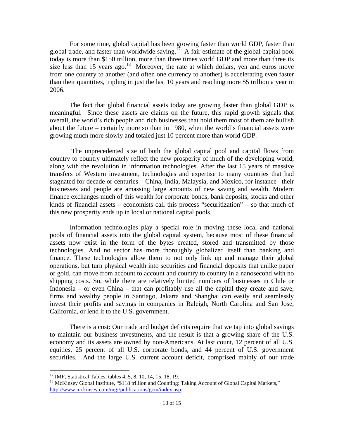For some time, global capital has been growing faster than world GDP, faster than global trade, and faster than worldwide saving.<sup>17</sup> A fair estimate of the global capital pool today is more than \$150 trillion, more than three times world GDP and more than three its size less than 15 years ago.<sup>18</sup> Moreover, the rate at which dollars, yen and euros move from one country to another (and often one currency to another) is accelerating even faster than their quantities, tripling in just the last 10 years and reaching more \$5 trillion a year in 2006.

The fact that global financial assets today are growing faster than global GDP is meaningful. Since these assets are claims on the future, this rapid growth signals that overall, the world's rich people and rich businesses that hold them most of them are bullish about the future – certainly more so than in 1980, when the world's financial assets were growing much more slowly and totaled just 10 percent more than world GDP.

 The unprecedented size of both the global capital pool and capital flows from country to country ultimately reflect the new prosperity of much of the developing world, along with the revolution in information technologies. After the last 15 years of massive transfers of Western investment, technologies and expertise to many countries that had stagnated for decade or centuries – China, India, Malaysia, and Mexico, for instance –their businesses and people are amassing large amounts of new saving and wealth. Modern finance exchanges much of this wealth for corporate bonds, bank deposits, stocks and other kinds of financial assets – economists call this process "securitization" – so that much of this new prosperity ends up in local or national capital pools.

Information technologies play a special role in moving these local and national pools of financial assets into the global capital system, because most of these financial assets now exist in the form of the bytes created, stored and transmitted by those technologies. And no sector has more thoroughly globalized itself than banking and finance. These technologies allow them to not only link up and manage their global operations, but turn physical wealth into securities and financial deposits that unlike paper or gold, can move from account to account and country to country in a nanosecond with no shipping costs. So, while there are relatively limited numbers of businesses in Chile or Indonesia – or even China – that can profitably use all the capital they create and save, firms and wealthy people in Santiago, Jakarta and Shanghai can easily and seamlessly invest their profits and savings in companies in Raleigh, North Carolina and San Jose, California, or lend it to the U.S. government.

There is a cost: Our trade and budget deficits require that we tap into global savings to maintain our business investments, and the result is that a growing share of the U.S. economy and its assets are owned by non-Americans. At last count, 12 percent of all U.S. equities, 25 percent of all U.S. corporate bonds, and 44 percent of U.S. government securities. And the large U.S. current account deficit, comprised mainly of our trade

<sup>17</sup> IMF, Statistical Tables, tables 4, 5, 8, 10, 14, 15, 18, 19.

<sup>&</sup>lt;sup>18</sup> McKinsey Global Institute, "\$118 trillion and Counting: Taking Account of Global Capital Markets," http://www.mckinsey.com/mgi/publications/gcm/index.asp.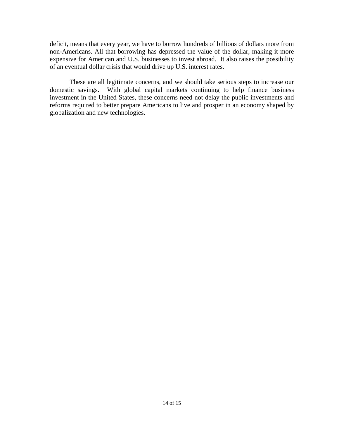deficit, means that every year, we have to borrow hundreds of billions of dollars more from non-Americans. All that borrowing has depressed the value of the dollar, making it more expensive for American and U.S. businesses to invest abroad. It also raises the possibility of an eventual dollar crisis that would drive up U.S. interest rates.

These are all legitimate concerns, and we should take serious steps to increase our domestic savings. With global capital markets continuing to help finance business investment in the United States, these concerns need not delay the public investments and reforms required to better prepare Americans to live and prosper in an economy shaped by globalization and new technologies.